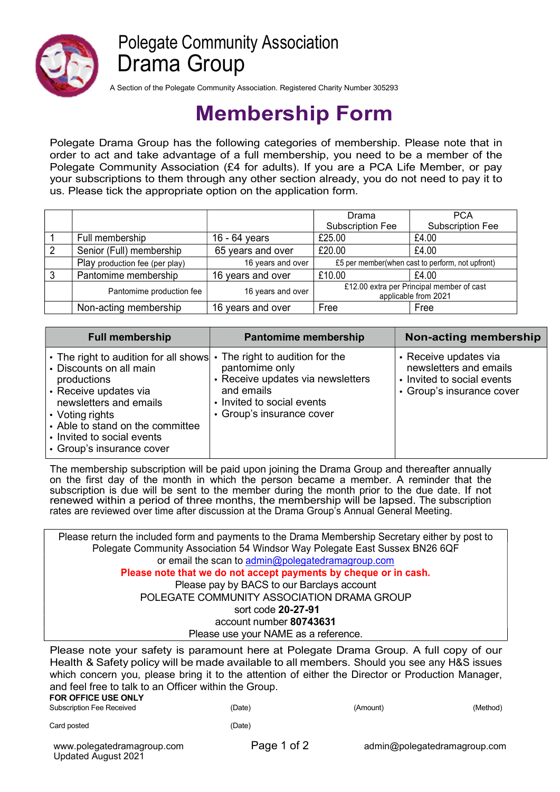

## Polegate Community Association Drama Group

A Section of the Polegate Community Association. Registered Charity Number 305293

## Membership Form

Polegate Drama Group has the following categories of membership. Please note that in order to act and take advantage of a full membership, you need to be a member of the Polegate Community Association (£4 for adults). If you are a PCA Life Member, or pay your subscriptions to them through any other section already, you do not need to pay it to us. Please tick the appropriate option on the application form.

|                                |                   | Drama                                                             | <b>PCA</b>              |
|--------------------------------|-------------------|-------------------------------------------------------------------|-------------------------|
|                                |                   | <b>Subscription Fee</b>                                           | <b>Subscription Fee</b> |
| Full membership                | 16 - 64 years     | £25.00                                                            | £4.00                   |
| Senior (Full) membership       | 65 years and over | £20.00                                                            | £4.00                   |
| Play production fee (per play) | 16 years and over | £5 per member(when cast to perform, not upfront)                  |                         |
| Pantomime membership           | 16 years and over | £10.00                                                            | £4.00                   |
| Pantomime production fee       | 16 years and over | £12.00 extra per Principal member of cast<br>applicable from 2021 |                         |
| Non-acting membership          | 16 years and over | Free                                                              | Free                    |

| <b>Full membership</b>                                                                                                                                                                                                                                                   | Pantomime membership                                                                                                                                        | Non-acting membership                                                                                      |
|--------------------------------------------------------------------------------------------------------------------------------------------------------------------------------------------------------------------------------------------------------------------------|-------------------------------------------------------------------------------------------------------------------------------------------------------------|------------------------------------------------------------------------------------------------------------|
| $\cdot$ The right to audition for all shows<br>• Discounts on all main<br>productions<br>• Receive updates via<br>newsletters and emails<br>$\cdot$ Voting rights<br>• Able to stand on the committee<br>  • Invited to social events<br>$\cdot$ Group's insurance cover | The right to audition for the<br>pantomime only<br>Receive updates via newsletters<br>and emails<br>• Invited to social events<br>• Group's insurance cover | • Receive updates via<br>newsletters and emails<br>• Invited to social events<br>• Group's insurance cover |

The membership subscription will be paid upon joining the Drama Group and thereafter annually on the first day of the month in which the person became a member. A reminder that the subscription is due will be sent to the member during the month prior to the due date. If not renewed within a period of three months, the membership will be lapsed. The subscription rates are reviewed over time after discussion at the Drama Group's Annual General Meeting.

Please return the included form and payments to the Drama Membership Secretary either by post to Polegate Community Association 54 Windsor Way Polegate East Sussex BN26 6QF or email the scan to admin@polegatedramagroup.com Please note that we do not accept payments by cheque or in cash. Please pay by BACS to our Barclays account POLEGATE COMMUNITY ASSOCIATION DRAMA GROUP sort code 20-27-91 account number 80743631 Please use your NAME as a reference.

Please note your safety is paramount here at Polegate Drama Group. A full copy of our Health & Safety policy will be made available to all members. Should you see any H&S issues which concern you, please bring it to the attention of either the Director or Production Manager, and feel free to talk to an Officer within the Group.

## FOR OFFICE USE ONLY Subscription Fee Received (Date) (Amount) (Method)

Card posted (Date)